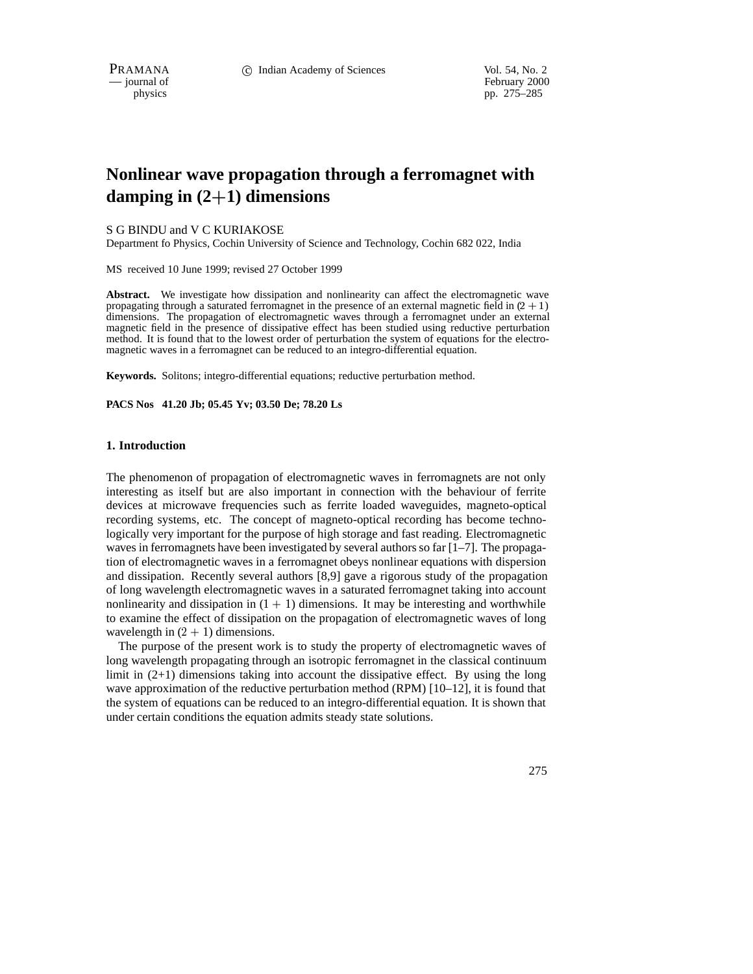February 2000 physics pp. 275–285

# **Nonlinear wave propagation through a ferromagnet with damping in (2**+**1) dimensions**

## S G BINDU and V C KURIAKOSE

Department fo Physics, Cochin University of Science and Technology, Cochin 682 022, India

MS received 10 June 1999; revised 27 October 1999

Abstract. We investigate how dissipation and nonlinearity can affect the electromagnetic wave propagating through a saturated ferromagnet in the presence of an external magnetic field in  $(2 + 1)$ dimensions. The propagation of electromagnetic waves through a ferromagnet under an external magnetic field in the presence of dissipative effect has been studied using reductive perturbation method. It is found that to the lowest order of perturbation the system of equations for the electromagnetic waves in a ferromagnet can be reduced to an integro-differential equation.

**Keywords.** Solitons; integro-differential equations; reductive perturbation method.

**PACS Nos 41.20 Jb; 05.45 Yv; 03.50 De; 78.20 Ls**

## **1. Introduction**

The phenomenon of propagation of electromagnetic waves in ferromagnets are not only interesting as itself but are also important in connection with the behaviour of ferrite devices at microwave frequencies such as ferrite loaded waveguides, magneto-optical recording systems, etc. The concept of magneto-optical recording has become technologically very important for the purpose of high storage and fast reading. Electromagnetic waves in ferromagnets have been investigated by several authors so far  $[1-7]$ . The propagation of electromagnetic waves in a ferromagnet obeys nonlinear equations with dispersion and dissipation. Recently several authors [8,9] gave a rigorous study of the propagation of long wavelength electromagnetic waves in a saturated ferromagnet taking into account nonlinearity and dissipation in  $(1 + 1)$  dimensions. It may be interesting and worthwhile to examine the effect of dissipation on the propagation of electromagnetic waves of long wavelength in  $(2 + 1)$  dimensions.

The purpose of the present work is to study the property of electromagnetic waves of long wavelength propagating through an isotropic ferromagnet in the classical continuum limit in  $(2+1)$  dimensions taking into account the dissipative effect. By using the long wave approximation of the reductive perturbation method (RPM) [10–12], it is found that the system of equations can be reduced to an integro-differential equation. It is shown that under certain conditions the equation admits steady state solutions.

275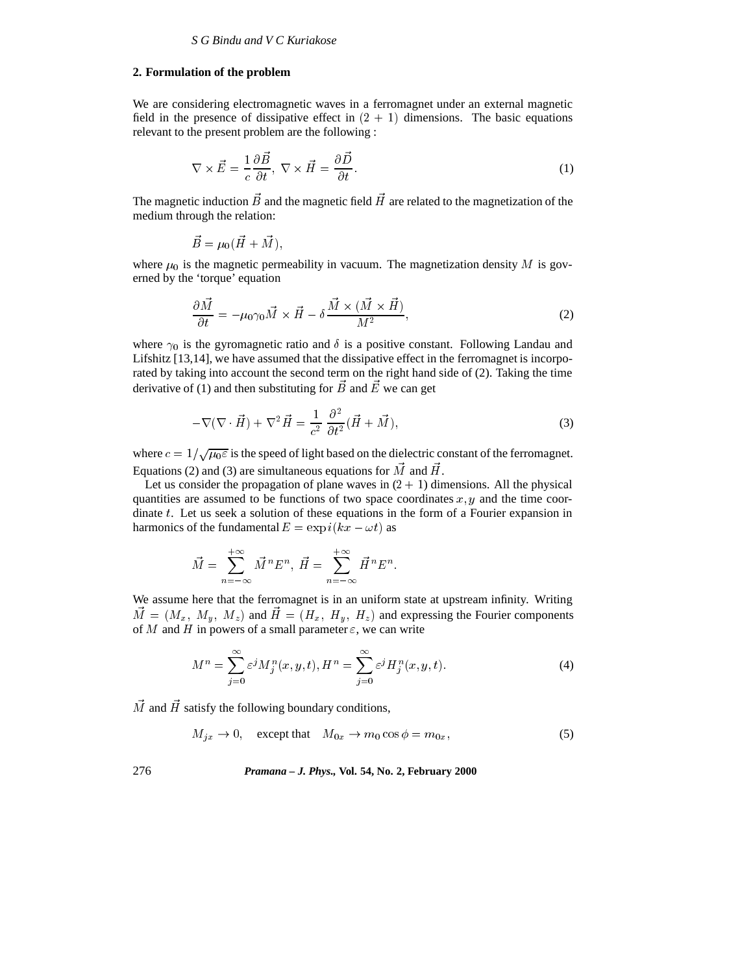## **2. Formulation of the problem**

We are considering electromagnetic waves in a ferromagnet under an external magnetic field in the presence of dissipative effect in  $(2 + 1)$  dimensions. The basic equations relevant to the present problem are the following :

$$
\nabla \times \vec{E} = \frac{1}{c} \frac{\partial \vec{B}}{\partial t}, \ \nabla \times \vec{H} = \frac{\partial \vec{D}}{\partial t}.
$$
 (1)

The magnetic induction  $\vec{B}$  and the magnetic field  $\vec{H}$  are related to the magnetization of the medium through the relation:

$$
\vec{B} = \mu_0 (\vec{H} + \vec{M}),
$$

where  $\mu_0$  is the magnetic permeability in vacuum. The magnetization density M is governed by the 'torque' equation

$$
\frac{\partial \vec{M}}{\partial t} = -\mu_0 \gamma_0 \vec{M} \times \vec{H} - \delta \frac{\vec{M} \times (\vec{M} \times \vec{H})}{M^2},\tag{2}
$$

where  $\gamma_0$  is the gyromagnetic ratio and  $\delta$  is a positive constant. Following Landau and Lifshitz [13,14], we have assumed that the dissipative effect in the ferromagnet is incorporated by taking into account the second term on the right hand side of (2). Taking the time derivative of (1) and then substituting for  $\vec{B}$  and  $\vec{E}$  we can get

$$
-\nabla(\nabla \cdot \vec{H}) + \nabla^2 \vec{H} = \frac{1}{c^2} \frac{\partial^2}{\partial t^2} (\vec{H} + \vec{M}),\tag{3}
$$

where  $c = 1/\sqrt{\mu_0 \varepsilon}$  is the speed of light based on the dielectric constant of the ferromagnet. Equations (2) and (3) are simultaneous equations for  $\vec{M}$  and  $\vec{H}$ .

Let us consider the propagation of plane waves in  $(2 + 1)$  dimensions. All the physical quantities are assumed to be functions of two space coordinates  $x, y$  and the time coordinate t. Let us seek a solution of these equations in the form of a Fourier expansion in harmonics of the fundamental  $E = \exp i(kx - \omega t)$  as

$$
\vec{M} = \sum_{n=-\infty}^{+\infty} \vec{M}^n E^n, \ \vec{H} = \sum_{n=-\infty}^{+\infty} \vec{H}^n E^n.
$$

We assume here that the ferromagnet is in an uniform state at upstream infinity. Writing  $\vec{M} = (M_x, M_y, M_z)$  and  $\vec{H} = (H_x, H_y, H_z)$  and expressing the Fourier components of M and H in powers of a small parameter  $\varepsilon$ , we can write

$$
M^n = \sum_{j=0}^{\infty} \varepsilon^j M_j^n(x, y, t), H^n = \sum_{j=0}^{\infty} \varepsilon^j H_j^n(x, y, t).
$$
 (4)

 $\vec{M}$  and  $\vec{H}$  satisfy the following boundary conditions,

$$
M_{jx} \to 0, \quad \text{except that} \quad M_{0x} \to m_0 \cos \phi = m_{0x}, \tag{5}
$$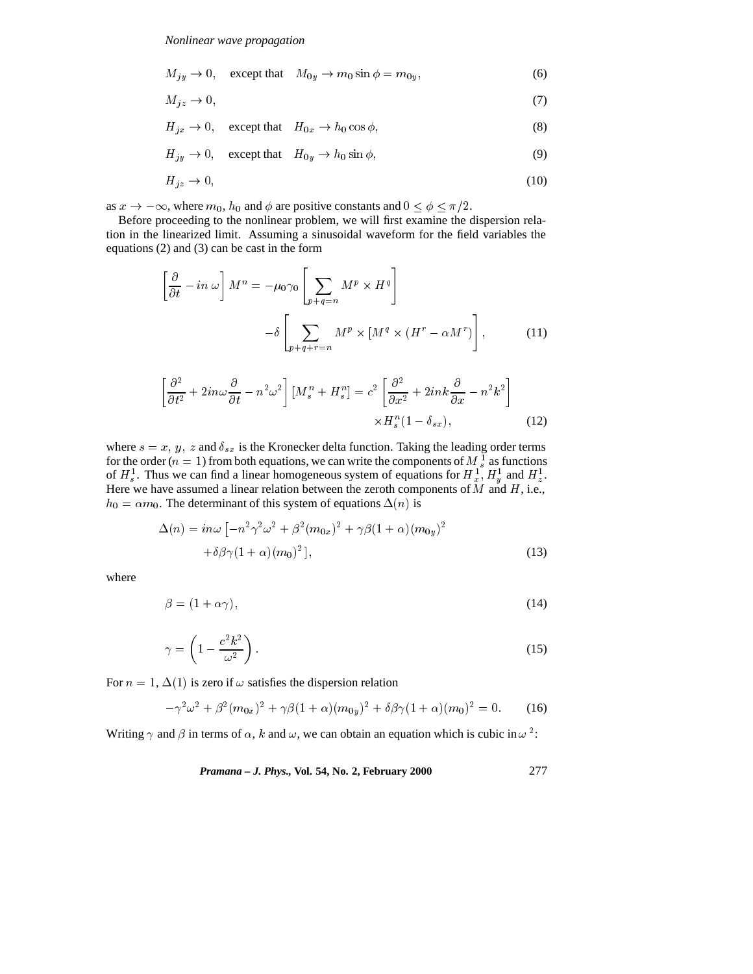$$
M_{jy} \to 0, \quad \text{except that} \quad M_{0y} \to m_0 \sin \phi = m_{0y}, \tag{6}
$$

$$
M_{jz} \to 0,\tag{7}
$$

$$
H_{jx} \to 0, \quad \text{except that} \quad H_{0x} \to h_0 \cos \phi,\tag{8}
$$

$$
H_{jy} \to 0, \quad \text{except that} \quad H_{0y} \to h_0 \sin \phi,\tag{9}
$$

$$
H_{jz} \to 0,\tag{10}
$$

as  $x \to -\infty$ , where  $m_0$ ,  $h_0$  and  $\phi$  are positive constants and  $0 \le \phi \le \pi/2$ .

Before proceeding to the nonlinear problem, we will first examine the dispersion relation in the linearized limit. Assuming a sinusoidal waveform for the field variables the equations (2) and (3) can be cast in the form

$$
\left[\frac{\partial}{\partial t} - in \omega\right] M^n = -\mu_0 \gamma_0 \left[\sum_{p+q=n} M^p \times H^q\right] \n- \delta \left[\sum_{p+q+r=n} M^p \times \left[M^q \times (H^r - \alpha M^r)\right],
$$
\n(11)

$$
\left[\frac{\partial^2}{\partial t^2} + 2in\omega \frac{\partial}{\partial t} - n^2 \omega^2\right] \left[M_s^n + H_s^n\right] = c^2 \left[\frac{\partial^2}{\partial x^2} + 2ink\frac{\partial}{\partial x} - n^2 k^2\right] \times H_s^n(1 - \delta_{sx}),\tag{12}
$$

where  $s = x$ ,  $y$ ,  $z$  and  $\delta_{sx}$  is the Kronecker delta function. Taking the leading order terms for the order ( $n = 1$ ) from both equations, we can write the components of  $M_s^1$  as functions of  $H_s^1$ . Thus we can find a linear homogeneous system of equations for  $H_s^1$ ,  $H_u^1$  and  $H_s^1$ . Here we have assumed a linear relation between the zeroth components of  $M$  and  $H$ , i.e.,  $h_0 = \alpha m_0$ . The determinant of this system of equations  $\Delta(n)$  is

$$
\Delta(n) = in\omega \left[ -n^2 \gamma^2 \omega^2 + \beta^2 (m_{0x})^2 + \gamma \beta (1 + \alpha) (m_{0y})^2 + \delta \beta \gamma (1 + \alpha) (m_0)^2 \right],
$$
\n(13)

where

 $\overline{a}$ 

$$
\beta = (1 + \alpha \gamma),\tag{14}
$$

$$
\gamma = \left(1 - \frac{c^2 k^2}{\omega^2}\right). \tag{15}
$$

For  $n = 1, \Delta(1)$  is zero if  $\omega$  satisfies the dispersion relation

$$
-\gamma^2 \omega^2 + \beta^2 (m_{0x})^2 + \gamma \beta (1 + \alpha) (m_{0y})^2 + \delta \beta \gamma (1 + \alpha) (m_0)^2 = 0.
$$
 (16)

Writing  $\gamma$  and  $\beta$  in terms of  $\alpha$ , k and  $\omega$ , we can obtain an equation which is cubic in  $\omega^2$ :

*Pramana – J. Phys.,* **Vol. 54, No. 2, February 2000** 277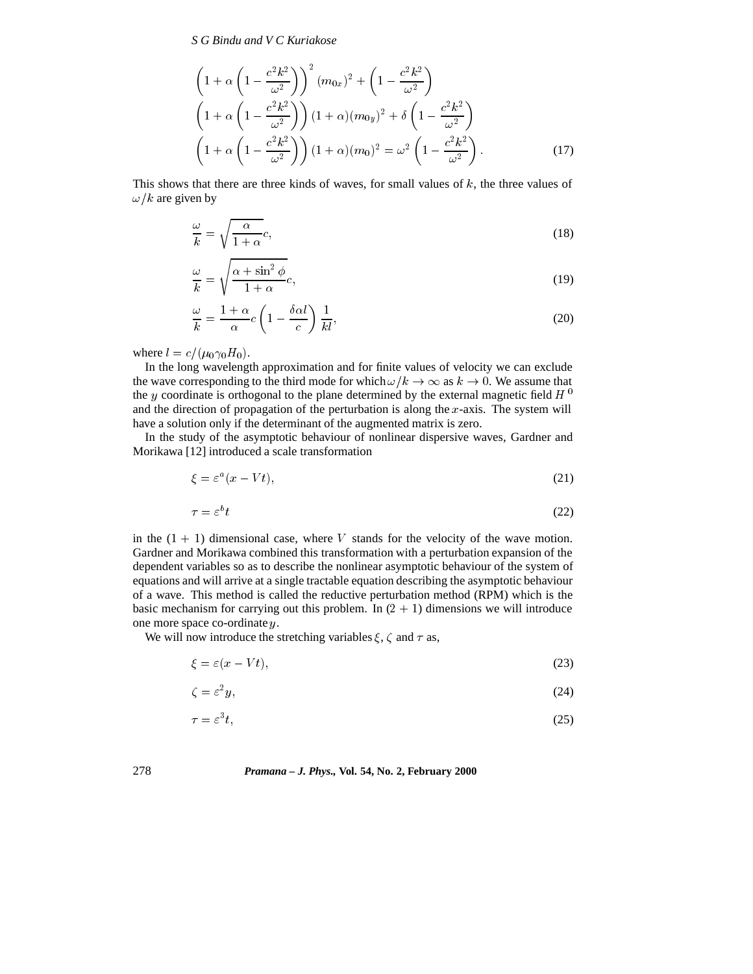*S G Bindu and V C Kuriakose*

$$
\left(1+\alpha\left(1-\frac{c^2k^2}{\omega^2}\right)\right)^2 (m_{0x})^2 + \left(1-\frac{c^2k^2}{\omega^2}\right)
$$

$$
\left(1+\alpha\left(1-\frac{c^2k^2}{\omega^2}\right)\right)(1+\alpha)(m_{0y})^2 + \delta\left(1-\frac{c^2k^2}{\omega^2}\right)
$$

$$
\left(1+\alpha\left(1-\frac{c^2k^2}{\omega^2}\right)\right)(1+\alpha)(m_0)^2 = \omega^2\left(1-\frac{c^2k^2}{\omega^2}\right).
$$
 (17)

This shows that there are three kinds of waves, for small values of  $k$ , the three values of  $\omega/k$  are given by

$$
\frac{\omega}{k} = \sqrt{\frac{\alpha}{1 + \alpha}}c,\tag{18}
$$

$$
\frac{\omega}{k} = \sqrt{\frac{\alpha + \sin^2 \phi}{1 + \alpha}} c,\tag{19}
$$

$$
\frac{\omega}{k} = \frac{1+\alpha}{\alpha}c\left(1 - \frac{\delta \alpha l}{c}\right)\frac{1}{kl},\tag{20}
$$

where  $l = c/(\mu_0 \gamma_0 H_0)$ .

In the long wavelength approximation and for finite values of velocity we can exclude the wave corresponding to the third mode for which  $\omega/k \to \infty$  as  $k \to 0$ . We assume that the y coordinate is orthogonal to the plane determined by the external magnetic field  $H^0$ and the direction of propagation of the perturbation is along the x-axis. The system will have a solution only if the determinant of the augmented matrix is zero.

In the study of the asymptotic behaviour of nonlinear dispersive waves, Gardner and Morikawa [12] introduced a scale transformation

$$
\xi = \varepsilon^a (x - Vt),\tag{21}
$$

$$
\tau = \varepsilon^b t \tag{22}
$$

in the  $(1 + 1)$  dimensional case, where V stands for the velocity of the wave motion. Gardner and Morikawa combined this transformation with a perturbation expansion of the dependent variables so as to describe the nonlinear asymptotic behaviour of the system of equations and will arrive at a single tractable equation describing the asymptotic behaviour of a wave. This method is called the reductive perturbation method (RPM) which is the basic mechanism for carrying out this problem. In  $(2 + 1)$  dimensions we will introduce one more space co-ordinate y.

We will now introduce the stretching variables  $\xi$ ,  $\zeta$  and  $\tau$  as,

$$
\xi = \varepsilon (x - Vt),\tag{23}
$$

$$
\zeta = \varepsilon^2 y,\tag{24}
$$

$$
\tau = \varepsilon^3 t,\tag{25}
$$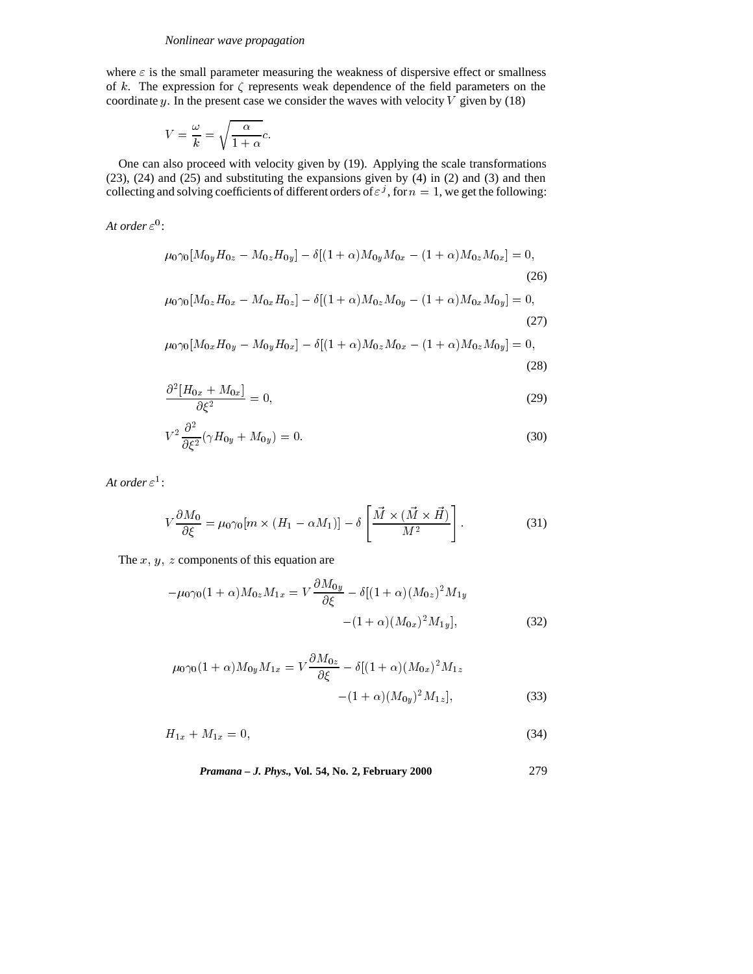where  $\varepsilon$  is the small parameter measuring the weakness of dispersive effect or smallness of k. The expression for  $\zeta$  represents weak dependence of the field parameters on the coordinate y. In the present case we consider the waves with velocity  $V$  given by (18)

$$
V = \frac{\omega}{k} = \sqrt{\frac{\alpha}{1 + \alpha}}c.
$$

One can also proceed with velocity given by (19). Applying the scale transformations (23), (24) and (25) and substituting the expansions given by (4) in (2) and (3) and then collecting and solving coefficients of different orders of  $\varepsilon^j$ , for  $n = 1$ , we get the following:

At order  $\varepsilon^0$ :

$$
\mu_0 \gamma_0 [M_{0y} H_{0z} - M_{0z} H_{0y}] - \delta [(1+\alpha) M_{0y} M_{0x} - (1+\alpha) M_{0z} M_{0x}] = 0,
$$
\n(26)  
\n
$$
\mu_0 \gamma_0 [M_{0z} H_{0x} - M_{0x} H_{0z}] - \delta [(1+\alpha) M_{0z} M_{0y} - (1+\alpha) M_{0x} M_{0y}] = 0,
$$
\n(27)

$$
\mu_0 \gamma_0 [M_{0x} H_{0y} - M_{0y} H_{0x}] - \delta [(1+\alpha) M_{0z} M_{0x} - (1+\alpha) M_{0z} M_{0y}] = 0,
$$
\n(28)

$$
\frac{\partial^2 [H_{0x} + M_{0x}]}{\partial \xi^2} = 0,\tag{29}
$$

$$
V^2 \frac{\partial^2}{\partial \xi^2} (\gamma H_{0y} + M_{0y}) = 0. \tag{30}
$$

At order  $\varepsilon^1$ :

$$
V\frac{\partial M_0}{\partial \xi} = \mu_0 \gamma_0 [m \times (H_1 - \alpha M_1)] - \delta \left[ \frac{\vec{M} \times (\vec{M} \times \vec{H})}{M^2} \right].
$$
 (31)

The  $x, y, z$  components of this equation are

$$
-\mu_0 \gamma_0 (1+\alpha) M_{0z} M_{1x} = V \frac{\partial M_{0y}}{\partial \xi} - \delta [(1+\alpha)(M_{0z})^2 M_{1y} - (1+\alpha)(M_{0x})^2 M_{1y}], \tag{32}
$$

$$
\mu_0 \gamma_0 (1+\alpha) M_{0y} M_{1x} = V \frac{\partial M_{0z}}{\partial \xi} - \delta [(1+\alpha)(M_{0x})^2 M_{1z} - (1+\alpha)(M_{0y})^2 M_{1z}], \qquad (33)
$$

$$
H_{1x} + M_{1x} = 0,\t\t(34)
$$

*Pramana – J. Phys.,* **Vol. 54, No. 2, February 2000** 279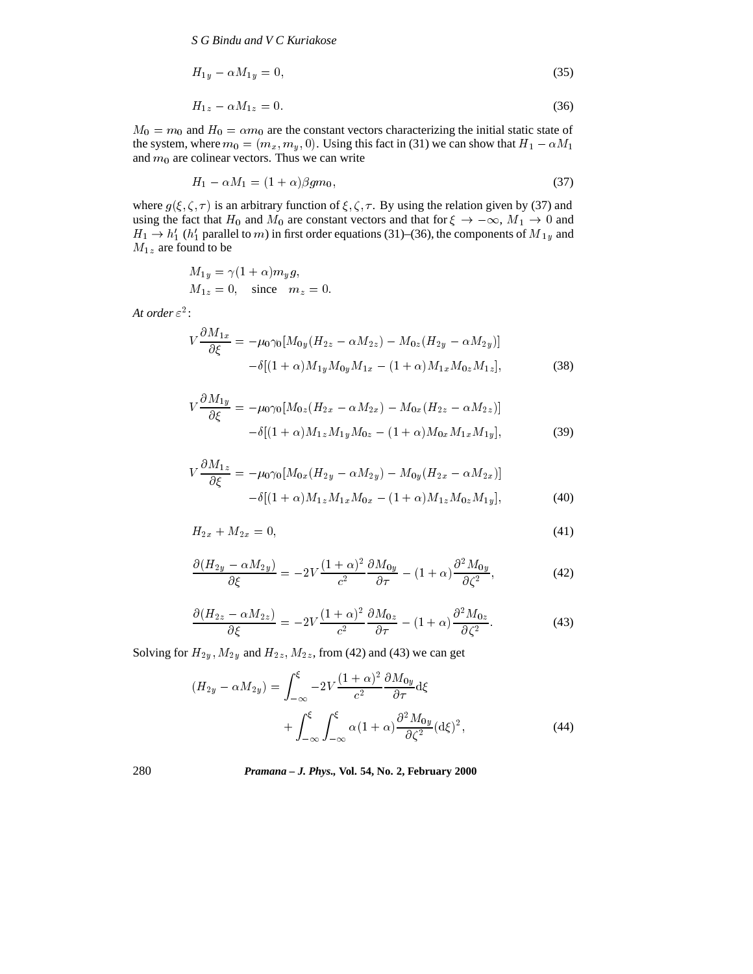*S G Bindu and V C Kuriakose*

$$
H_{1y} - \alpha M_{1y} = 0,\t\t(35)
$$

$$
H_{1z} - \alpha M_{1z} = 0. \tag{36}
$$

 $M_0 = m_0$  and  $H_0 = \alpha m_0$  are the constant vectors characterizing the initial static state of the system, where  $m_0 = (m_x, m_y, 0)$ . Using this fact in (31) we can show that  $H_1 - \alpha M_1$ and  $m_0$  are colinear vectors. Thus we can write

$$
H_1 - \alpha M_1 = (1 + \alpha)\beta g m_0,\tag{37}
$$

where  $g(\xi, \zeta, \tau)$  is an arbitrary function of  $\xi, \zeta, \tau$ . By using the relation given by (37) and using the fact that  $H_0$  and  $M_0$  are constant vectors and that for  $\xi \to -\infty$ ,  $M_1 \to 0$  and  $H_1 \rightarrow h'_1$  (h<sub>1</sub> parallel to m) in first order equations (31)–(36), the components of M <sub>1y</sub> and  $\mathcal{M}_{1z}$  are found to be

$$
M_{1y} = \gamma (1 + \alpha) m_y g,
$$
  
\n
$$
M_{1z} = 0, \text{ since } m_z = 0.
$$

At order  $\varepsilon^2$ :

$$
V\frac{\partial M_{1x}}{\partial \xi} = -\mu_0 \gamma_0 [M_{0y} (H_{2z} - \alpha M_{2z}) - M_{0z} (H_{2y} - \alpha M_{2y})]
$$

$$
-\delta [(1+\alpha)M_{1y} M_{0y} M_{1x} - (1+\alpha)M_{1x} M_{0z} M_{1z}], \qquad (38)
$$

$$
V\frac{\partial M_{1y}}{\partial \xi} = -\mu_0 \gamma_0 [M_{0z} (H_{2x} - \alpha M_{2x}) - M_{0x} (H_{2z} - \alpha M_{2z})]
$$

$$
-\delta [(1+\alpha)M_{1z}M_{1y}M_{0z} - (1+\alpha)M_{0x}M_{1x}M_{1y}], \qquad (39)
$$

$$
V\frac{\partial M_{1z}}{\partial \xi} = -\mu_0 \gamma_0 [M_{0x} (H_{2y} - \alpha M_{2y}) - M_{0y} (H_{2x} - \alpha M_{2x})]
$$

$$
-\delta [(1+\alpha)M_{1z}M_{1x}M_{0x} - (1+\alpha)M_{1z}M_{0z}M_{1y}], \qquad (40)
$$

$$
H_{2x} + M_{2x} = 0,\t\t(41)
$$

$$
\frac{\partial (H_{2y} - \alpha M_{2y})}{\partial \xi} = -2V \frac{(1+\alpha)^2}{c^2} \frac{\partial M_{0y}}{\partial \tau} - (1+\alpha) \frac{\partial^2 M_{0y}}{\partial \zeta^2},\tag{42}
$$

$$
\frac{\partial (H_{2z} - \alpha M_{2z})}{\partial \xi} = -2V \frac{(1+\alpha)^2}{c^2} \frac{\partial M_{0z}}{\partial \tau} - (1+\alpha) \frac{\partial^2 M_{0z}}{\partial \zeta^2}.
$$
(43)

Solving for  $H_{2y}$ ,  $M_{2y}$  and  $H_{2z}$ ,  $M_{2z}$ , from (42) and (43) we can get

$$
(H_{2y} - \alpha M_{2y}) = \int_{-\infty}^{\xi} -2V \frac{(1+\alpha)^2}{c^2} \frac{\partial M_{0y}}{\partial \tau} d\xi
$$

$$
+ \int_{-\infty}^{\xi} \int_{-\infty}^{\xi} \alpha (1+\alpha) \frac{\partial^2 M_{0y}}{\partial \zeta^2} (d\xi)^2,
$$
(44)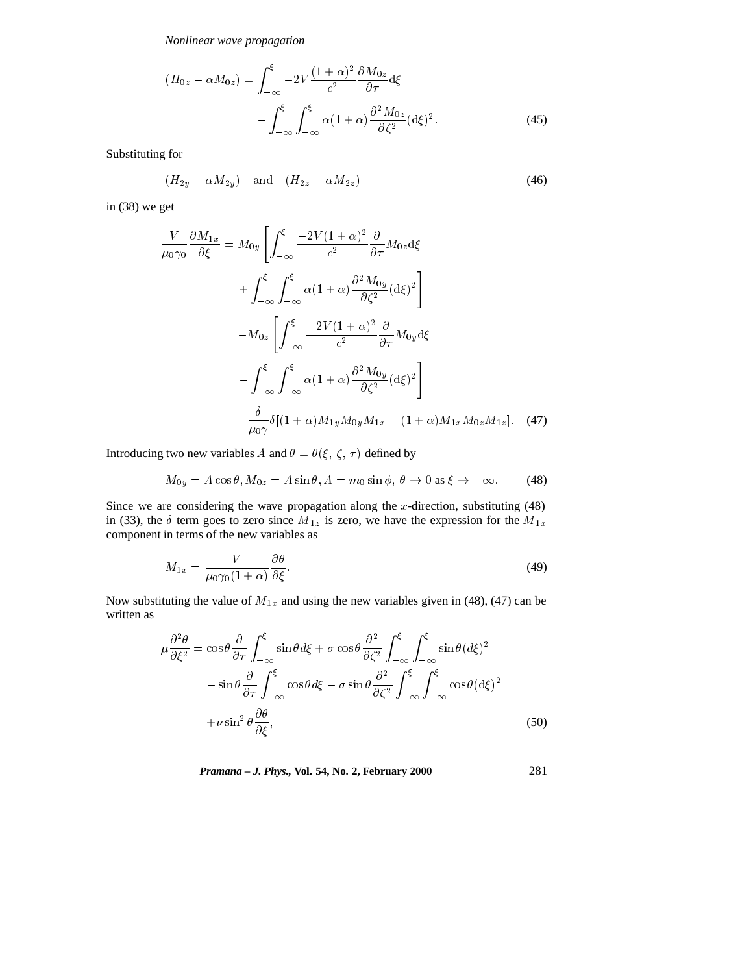*Nonlinear wave propagation*

$$
(H_{0z} - \alpha M_{0z}) = \int_{-\infty}^{\xi} -2V \frac{(1+\alpha)^2}{c^2} \frac{\partial M_{0z}}{\partial \tau} d\xi
$$

$$
- \int_{-\infty}^{\xi} \int_{-\infty}^{\xi} \alpha (1+\alpha) \frac{\partial^2 M_{0z}}{\partial \zeta^2} (d\xi)^2.
$$
(45)

Substituting for

$$
(H_{2y} - \alpha M_{2y}) \quad \text{and} \quad (H_{2z} - \alpha M_{2z}) \tag{46}
$$

in (38) we get

$$
\frac{V}{\mu_0 \gamma_0} \frac{\partial M_{1x}}{\partial \xi} = M_{0y} \left[ \int_{-\infty}^{\xi} \frac{-2V(1+\alpha)^2}{c^2} \frac{\partial}{\partial \tau} M_{0z} d\xi \right.
$$
  
+ 
$$
\int_{-\infty}^{\xi} \int_{-\infty}^{\xi} \alpha (1+\alpha) \frac{\partial^2 M_{0y}}{\partial \zeta^2} (d\xi)^2 \right]
$$
  
- 
$$
M_{0z} \left[ \int_{-\infty}^{\xi} \frac{-2V(1+\alpha)^2}{c^2} \frac{\partial}{\partial \tau} M_{0y} d\xi \right.
$$
  
- 
$$
\int_{-\infty}^{\xi} \int_{-\infty}^{\xi} \alpha (1+\alpha) \frac{\partial^2 M_{0y}}{\partial \zeta^2} (d\xi)^2 \right]
$$
  
- 
$$
\frac{\delta}{\mu_0 \gamma} \delta [(1+\alpha)M_{1y} M_{0y} M_{1x} - (1+\alpha)M_{1x} M_{0z} M_{1z}].
$$
 (47)

Introducing two new variables  $A$  and  $\theta = \theta(\xi, \, \zeta, \, \tau)$  defined by

$$
M_{0y} = A\cos\theta, M_{0z} = A\sin\theta, A = m_0\sin\phi, \ \theta \to 0 \text{ as } \xi \to -\infty. \tag{48}
$$

Since we are considering the wave propagation along the  $x$ -direction, substituting (48) in (33), the  $\delta$  term goes to zero since  $M_{1z}$  is zero, we have the expression for the  $M_{1x}$ component in terms of the new variables as

$$
M_{1x} = \frac{V}{\mu_0 \gamma_0 (1 + \alpha)} \frac{\partial \theta}{\partial \xi}.
$$
\n(49)

Now substituting the value of  $M_{1x}$  and using the new variables given in (48), (47) can be written as

$$
-\mu \frac{\partial^2 \theta}{\partial \xi^2} = \cos \theta \frac{\partial}{\partial \tau} \int_{-\infty}^{\xi} \sin \theta d\xi + \sigma \cos \theta \frac{\partial^2}{\partial \zeta^2} \int_{-\infty}^{\xi} \int_{-\infty}^{\xi} \sin \theta (d\xi)^2
$$

$$
-\sin \theta \frac{\partial}{\partial \tau} \int_{-\infty}^{\xi} \cos \theta d\xi - \sigma \sin \theta \frac{\partial^2}{\partial \zeta^2} \int_{-\infty}^{\xi} \int_{-\infty}^{\xi} \cos \theta (d\xi)^2
$$

$$
+\nu \sin^2 \theta \frac{\partial \theta}{\partial \xi}, \qquad (50)
$$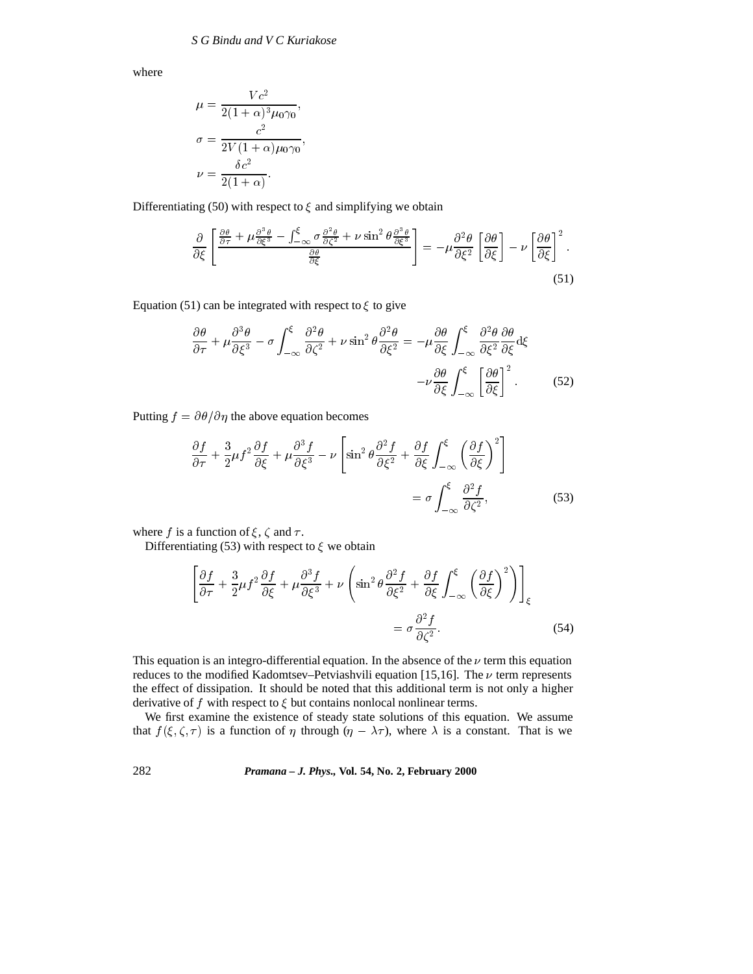where

$$
\mu = \frac{Vc^2}{2(1+\alpha)^3 \mu_0 \gamma_0},
$$

$$
\sigma = \frac{c^2}{2V(1+\alpha)\mu_0 \gamma_0},
$$

$$
\nu = \frac{\delta c^2}{2(1+\alpha)}.
$$

Differentiating (50) with respect to  $\xi$  and simplifying we obtain

$$
\frac{\partial}{\partial \xi} \left[ \frac{\frac{\partial \theta}{\partial \tau} + \mu \frac{\partial^3 \theta}{\partial \xi^3} - \int_{-\infty}^{\xi} \sigma \frac{\partial^2 \theta}{\partial \zeta^2} + \nu \sin^2 \theta \frac{\partial^3 \theta}{\partial \xi^3}}{\frac{\partial \theta}{\partial \xi}} \right] = -\mu \frac{\partial^2 \theta}{\partial \xi^2} \left[ \frac{\partial \theta}{\partial \xi} \right] - \nu \left[ \frac{\partial \theta}{\partial \xi} \right]^2.
$$
\n(51)

Equation (51) can be integrated with respect to  $\xi$  to give

$$
\frac{\partial \theta}{\partial \tau} + \mu \frac{\partial^3 \theta}{\partial \xi^3} - \sigma \int_{-\infty}^{\xi} \frac{\partial^2 \theta}{\partial \zeta^2} + \nu \sin^2 \theta \frac{\partial^2 \theta}{\partial \xi^2} = -\mu \frac{\partial \theta}{\partial \xi} \int_{-\infty}^{\xi} \frac{\partial^2 \theta}{\partial \xi^2} \frac{\partial \theta}{\partial \xi} d\xi
$$

$$
-\nu \frac{\partial \theta}{\partial \xi} \int_{-\infty}^{\xi} \left[ \frac{\partial \theta}{\partial \xi} \right]^2.
$$
(52)

Putting  $f = \partial \theta / \partial \eta$  the above equation becomes

$$
\frac{\partial f}{\partial \tau} + \frac{3}{2} \mu f^2 \frac{\partial f}{\partial \xi} + \mu \frac{\partial^3 f}{\partial \xi^3} - \nu \left[ \sin^2 \theta \frac{\partial^2 f}{\partial \xi^2} + \frac{\partial f}{\partial \xi} \int_{-\infty}^{\xi} \left( \frac{\partial f}{\partial \xi} \right)^2 \right]
$$

$$
= \sigma \int_{-\infty}^{\xi} \frac{\partial^2 f}{\partial \zeta^2}, \tag{53}
$$

where f is a function of  $\xi$ ,  $\zeta$  and  $\tau$ .

Differentiating (53) with respect to  $\xi$  we obtain

$$
\left[\frac{\partial f}{\partial \tau} + \frac{3}{2}\mu f^2 \frac{\partial f}{\partial \xi} + \mu \frac{\partial^3 f}{\partial \xi^3} + \nu \left(\sin^2 \theta \frac{\partial^2 f}{\partial \xi^2} + \frac{\partial f}{\partial \xi} \int_{-\infty}^{\xi} \left(\frac{\partial f}{\partial \xi}\right)^2\right)\right]_{\xi}
$$
  
=  $\sigma \frac{\partial^2 f}{\partial \zeta^2}$ . (54)

This equation is an integro-differential equation. In the absence of the  $\nu$  term this equation reduces to the modified Kadomtsev–Petviashvili equation [15,16]. The  $\nu$  term represents the effect of dissipation. It should be noted that this additional term is not only a higher derivative of f with respect to  $\xi$  but contains nonlocal nonlinear terms.

We first examine the existence of steady state solutions of this equation. We assume that  $f(\xi, \zeta, \tau)$  is a function of  $\eta$  through  $(\eta - \lambda \tau)$ , where  $\lambda$  is a constant. That is we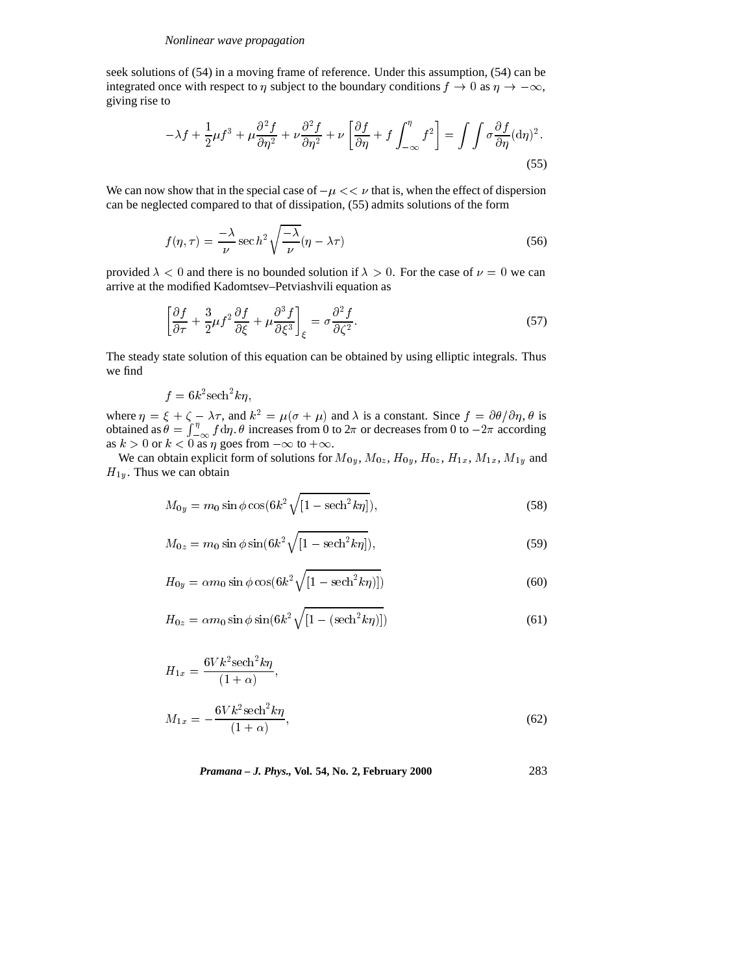seek solutions of (54) in a moving frame of reference. Under this assumption, (54) can be integrated once with respect to  $\eta$  subject to the boundary conditions  $f \to 0$  as  $\eta \to -\infty$ , giving rise to

$$
-\lambda f + \frac{1}{2}\mu f^3 + \mu \frac{\partial^2 f}{\partial \eta^2} + \nu \frac{\partial^2 f}{\partial \eta^2} + \nu \left[ \frac{\partial f}{\partial \eta} + f \int_{-\infty}^{\eta} f^2 \right] = \int \int \sigma \frac{\partial f}{\partial \eta} (\mathrm{d}\eta)^2. \tag{55}
$$

We can now show that in the special case of  $-\mu \ll v$  that is, when the effect of dispersion can be neglected compared to that of dissipation, (55) admits solutions of the form

$$
f(\eta,\tau) = \frac{-\lambda}{\nu} \sec h^2 \sqrt{\frac{-\lambda}{\nu}} (\eta - \lambda \tau)
$$
\n(56)

provided  $\lambda < 0$  and there is no bounded solution if  $\lambda > 0$ . For the case of  $\nu = 0$  we can arrive at the modified Kadomtsev–Petviashvili equation as

$$
\left[\frac{\partial f}{\partial \tau} + \frac{3}{2}\mu f^2 \frac{\partial f}{\partial \xi} + \mu \frac{\partial^3 f}{\partial \xi^3}\right]_{\xi} = \sigma \frac{\partial^2 f}{\partial \zeta^2}.
$$
\n(57)

The steady state solution of this equation can be obtained by using elliptic integrals. Thus we find

$$
f=6k^2\mathrm{sech}^2k\eta,
$$

where  $\eta = \xi + \zeta - \lambda \tau$ , and  $k^2 = \mu(\sigma + \mu)$  and  $\lambda$  is a constant. Since  $f = \partial \theta / \partial \eta$ ,  $\theta$  is obtained as  $\theta = \int_{-\infty}^{\eta} f d\eta$ .  $\theta$  increases from 0 to  $2\pi$  or decreases from 0 to  $-2\pi$  according as  $k > 0$  or  $k < 0$  as  $\eta$  goes from  $-\infty$  to  $+\infty$ .

We can obtain explicit form of solutions for  $M_{0y}$ ,  $M_{0z}$ ,  $H_{0y}$ ,  $H_{0z}$ ,  $H_{1x}$ ,  $M_{1x}$ ,  $M_{1y}$  and  $H_{1y}$ . Thus we can obtain

$$
M_{0y} = m_0 \sin \phi \cos(6k^2 \sqrt{[1 - \text{sech}^2 k \eta]}),
$$
 (58)

$$
M_{0z} = m_0 \sin \phi \sin(6k^2 \sqrt{[1 - \mathrm{sech}^2 k \eta]}), \tag{59}
$$

$$
H_{0y} = \alpha m_0 \sin \phi \cos(6k^2 \sqrt{[1 - \mathrm{sech}^2 k \eta)]})
$$
 (60)

$$
H_{0z} = \alpha m_0 \sin \phi \sin(6k^2 \sqrt{[1 - (\mathrm{sech}^2 k \eta)]})
$$
\n(61)

$$
H_{1x} = \frac{6Vk^2 \operatorname{sech}^2 k\eta}{(1+\alpha)},
$$
  

$$
M_{1x} = -\frac{6Vk^2 \operatorname{sech}^2 k\eta}{(1+\alpha)},
$$
 (62)

*Pramana – J. Phys.,* **Vol. 54, No. 2, February 2000** 283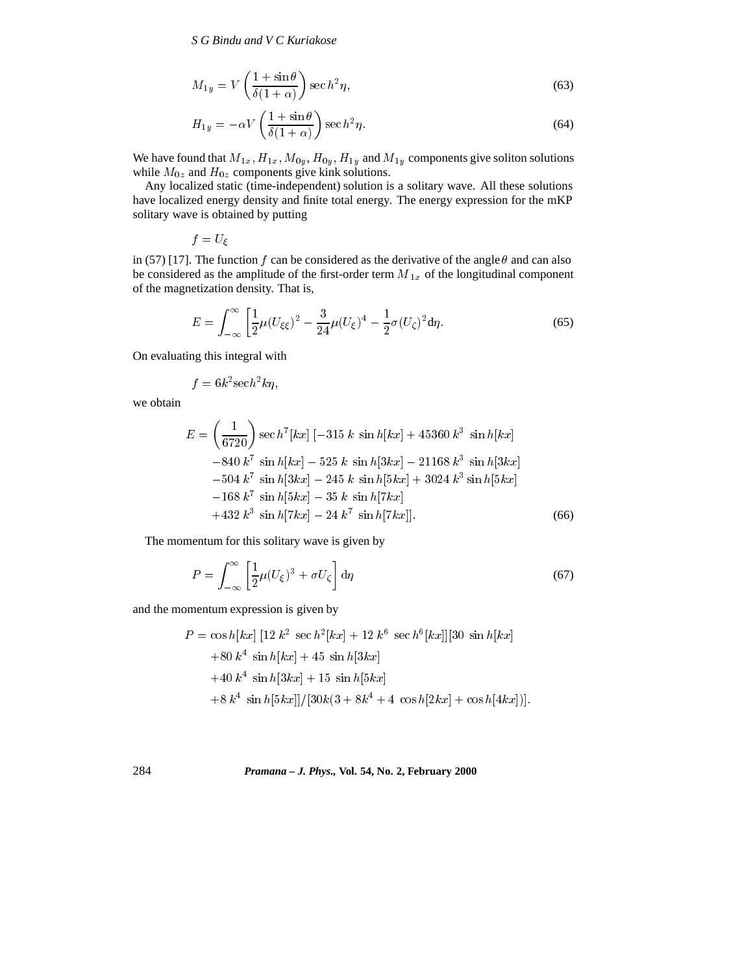*S G Bindu and V C Kuriakose*

$$
M_{1y} = V\left(\frac{1+\sin\theta}{\delta(1+\alpha)}\right)\sec h^2\eta,\tag{63}
$$

$$
H_{1y} = -\alpha V \left( \frac{1 + \sin \theta}{\delta (1 + \alpha)} \right) \sec h^2 \eta.
$$
 (64)

We have found that  $M_{1x}$ ,  $H_{1x}$ ,  $M_{0y}$ ,  $H_{0y}$ ,  $H_{1y}$  and  $M_{1y}$  components give soliton solutions while  $M_{0z}$  and  $H_{0z}$  components give kink solutions.

Any localized static (time-independent) solution is a solitary wave. All these solutions have localized energy density and finite total energy. The energy expression for the mKP solitary wave is obtained by putting

$$
f=U_{\xi}
$$

in (57) [17]. The function f can be considered as the derivative of the angle  $\theta$  and can also be considered as the amplitude of the first-order term  $M_{1x}$  of the longitudinal component of the magnetization density. That is,

$$
E = \int_{-\infty}^{\infty} \left[ \frac{1}{2} \mu (U_{\xi\xi})^2 - \frac{3}{24} \mu (U_{\xi})^4 - \frac{1}{2} \sigma (U_{\zeta})^2 d\eta. \right] \tag{65}
$$

On evaluating this integral with

$$
f=6k^2\mathrm{sech}^2k\eta,
$$

we obtain

$$
E = \left(\frac{1}{6720}\right) \sec h^7[kx] \left[-315\ k\ \sin h[kx] + 45360\ k^3\ \sin h[kx] -840\ k^7\ \sin h[kx] - 525\ k\ \sin h[3kx] - 21168\ k^3\ \sin h[3kx] - 504\ k^7\ \sin h[3kx] - 245\ k\ \sin h[5kx] + 3024\ k^3\ \sin h[5kx] - 168\ k^7\ \sin h[5kx] - 35\ k\ \sin h[7kx] + 432\ k^3\ \sin h[7kx] - 24\ k^7\ \sin h[7kx]]. \tag{66}
$$

The momentum for this solitary wave is given by

$$
P = \int_{-\infty}^{\infty} \left[ \frac{1}{2} \mu (U_{\xi})^3 + \sigma U_{\zeta} \right] d\eta \tag{67}
$$

and the momentum expression is given by

$$
P = \cos h[kx] [12 k2 sec h2[kx] + 12 k6 sec h6[kx]][30 sin h[kx]+80 k4 sin h[kx] + 45 sin h[3kx]+40 k4 sin h[3kx] + 15 sin h[5kx]+8 k4 sin h[5kx]]/[30k(3 + 8k4 + 4 cos h[2kx] + cos h[4kx])].
$$